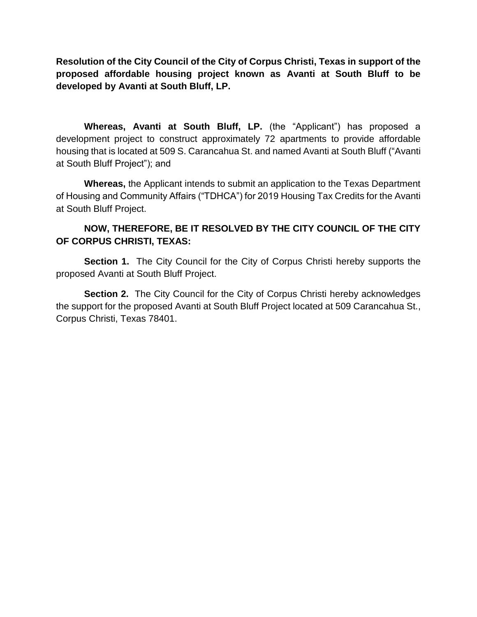**Resolution of the City Council of the City of Corpus Christi, Texas in support of the proposed affordable housing project known as Avanti at South Bluff to be developed by Avanti at South Bluff, LP.**

**Whereas, Avanti at South Bluff, LP.** (the "Applicant") has proposed a development project to construct approximately 72 apartments to provide affordable housing that is located at 509 S. Carancahua St. and named Avanti at South Bluff ("Avanti at South Bluff Project"); and

**Whereas,** the Applicant intends to submit an application to the Texas Department of Housing and Community Affairs ("TDHCA") for 2019 Housing Tax Credits for the Avanti at South Bluff Project.

## **NOW, THEREFORE, BE IT RESOLVED BY THE CITY COUNCIL OF THE CITY OF CORPUS CHRISTI, TEXAS:**

**Section 1.** The City Council for the City of Corpus Christi hereby supports the proposed Avanti at South Bluff Project.

**Section 2.** The City Council for the City of Corpus Christi hereby acknowledges the support for the proposed Avanti at South Bluff Project located at 509 Carancahua St., Corpus Christi, Texas 78401.